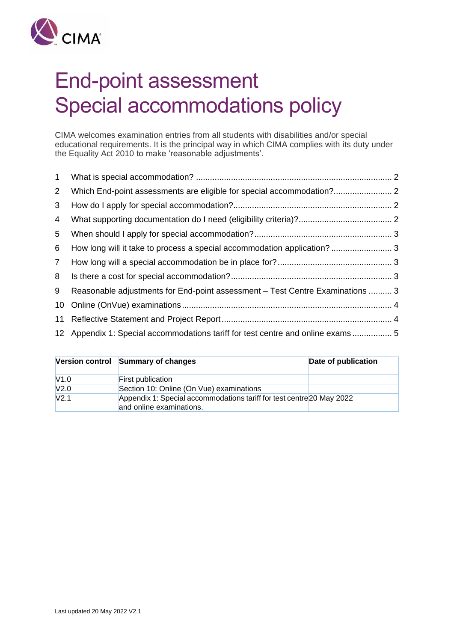

# End-point assessment Special accommodations policy

CIMA welcomes examination entries from all students with disabilities and/or special educational requirements. It is the principal way in which CIMA complies with its duty under the Equality Act 2010 to make 'reasonable adjustments'.

| $\mathbf{1}$    |                                                                                 |  |
|-----------------|---------------------------------------------------------------------------------|--|
| $2^{\circ}$     |                                                                                 |  |
| 3               |                                                                                 |  |
| 4               |                                                                                 |  |
| 5               |                                                                                 |  |
| 6               | How long will it take to process a special accommodation application? 3         |  |
| $7\overline{ }$ |                                                                                 |  |
| 8               |                                                                                 |  |
| 9               | Reasonable adjustments for End-point assessment – Test Centre Examinations  3   |  |
| 10              |                                                                                 |  |
| 11              |                                                                                 |  |
|                 | 12 Appendix 1: Special accommodations tariff for test centre and online exams 5 |  |

|                  | Version control Summary of changes                                                                | Date of publication |
|------------------|---------------------------------------------------------------------------------------------------|---------------------|
| V1.0             | <b>First publication</b>                                                                          |                     |
| V <sub>2.0</sub> | Section 10: Online (On Vue) examinations                                                          |                     |
| V <sub>2.1</sub> | Appendix 1: Special accommodations tariff for test centre 20 May 2022<br>and online examinations. |                     |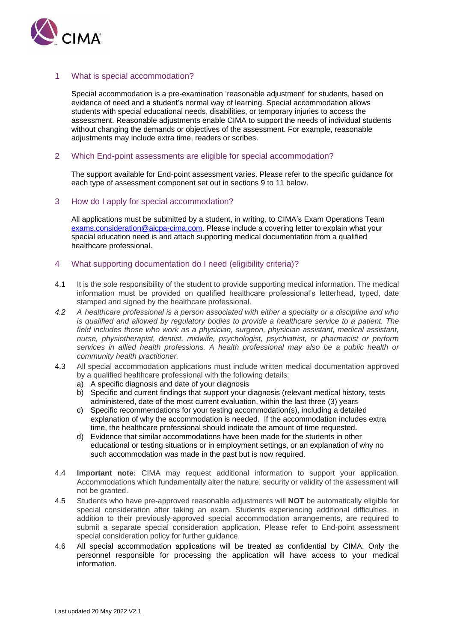

## <span id="page-1-0"></span>1 What is special accommodation?

Special accommodation is a pre-examination 'reasonable adjustment' for students, based on evidence of need and a student's normal way of learning. Special accommodation allows students with special educational needs, disabilities, or temporary injuries to access the assessment. Reasonable adjustments enable CIMA to support the needs of individual students without changing the demands or objectives of the assessment. For example, reasonable adjustments may include extra time, readers or scribes.

#### <span id="page-1-1"></span>2 Which End-point assessments are eligible for special accommodation?

The support available for End-point assessment varies. Please refer to the specific guidance for each type of assessment component set out in sections 9 to 11 below.

#### <span id="page-1-2"></span>3 How do I apply for special accommodation?

All applications must be submitted by a student, in writing, to CIMA's Exam Operations Team [exams.consideration@aicpa-cima.com.](mailto:exams.consideration@aicpa-cima.com) Please include a covering letter to explain what your special education need is and attach supporting medical documentation from a qualified healthcare professional.

### <span id="page-1-3"></span>4 What supporting documentation do I need (eligibility criteria)?

- 4.1 It is the sole responsibility of the student to provide supporting medical information. The medical information must be provided on qualified healthcare professional's letterhead, typed, date stamped and signed by the healthcare professional.
- *4.2 A healthcare professional is a person associated with either a specialty or a discipline and who is qualified and allowed by regulatory bodies to provide a healthcare service to a patient. The field includes those who work as a physician, surgeon, physician assistant, medical assistant, nurse, physiotherapist, dentist, midwife, psychologist, psychiatrist, or pharmacist or perform services in allied health professions. A health professional may also be a public health or community health practitioner.*
- 4.3 All special accommodation applications must include written medical documentation approved by a qualified healthcare professional with the following details:
	- a) A specific diagnosis and date of your diagnosis
	- b) Specific and current findings that support your diagnosis (relevant medical history, tests administered, date of the most current evaluation, within the last three (3) years
	- c) Specific recommendations for your testing accommodation(s), including a detailed explanation of why the accommodation is needed. If the accommodation includes extra time, the healthcare professional should indicate the amount of time requested.
	- d) Evidence that similar accommodations have been made for the students in other educational or testing situations or in employment settings, or an explanation of why no such accommodation was made in the past but is now required.
- 4.4 **Important note:** CIMA may request additional information to support your application. Accommodations which fundamentally alter the nature, security or validity of the assessment will not be granted.
- 4.5 Students who have pre-approved reasonable adjustments will **NOT** be automatically eligible for special consideration after taking an exam. Students experiencing additional difficulties, in addition to their previously-approved special accommodation arrangements, are required to submit a separate special consideration application. Please refer to End-point assessment special consideration policy for further guidance.
- 4.6 All special accommodation applications will be treated as confidential by CIMA. Only the personnel responsible for processing the application will have access to your medical information.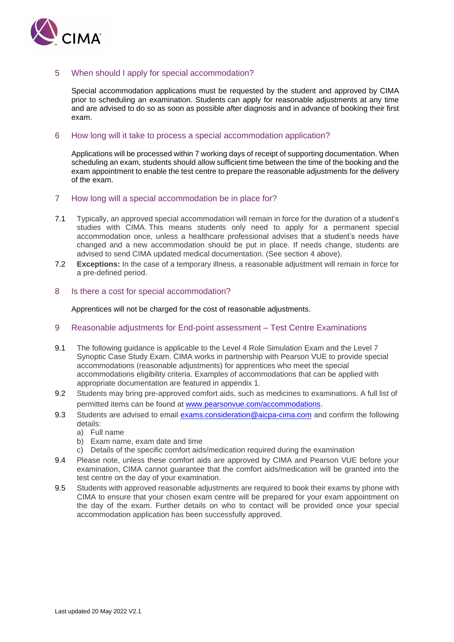

## <span id="page-2-0"></span>5 When should I apply for special accommodation?

Special accommodation applications must be requested by the student and approved by CIMA prior to scheduling an examination. Students can apply for reasonable adjustments at any time and are advised to do so as soon as possible after diagnosis and in advance of booking their first exam.

#### <span id="page-2-1"></span>6 How long will it take to process a special accommodation application?

Applications will be processed within 7 working days of receipt of supporting documentation. When scheduling an exam, students should allow sufficient time between the time of the booking and the exam appointment to enable the test centre to prepare the reasonable adjustments for the delivery of the exam.

### <span id="page-2-2"></span>7 How long will a special accommodation be in place for?

- 7.1 Typically, an approved special accommodation will remain in force for the duration of a student's studies with CIMA. This means students only need to apply for a permanent special accommodation once, unless a healthcare professional advises that a student's needs have changed and a new accommodation should be put in place. If needs change, students are advised to send CIMA updated medical documentation. (See section 4 above).
- 7.2 **Exceptions:** In the case of a temporary illness, a reasonable adjustment will remain in force for a pre-defined period.

#### <span id="page-2-3"></span>8 Is there a cost for special accommodation?

Apprentices will not be charged for the cost of reasonable adjustments.

#### <span id="page-2-4"></span>9 Reasonable adjustments for End-point assessment – Test Centre Examinations

- 9.1 The following guidance is applicable to the Level 4 Role Simulation Exam and the Level 7 Synoptic Case Study Exam. CIMA works in partnership with Pearson VUE to provide special accommodations (reasonable adjustments) for apprentices who meet the special accommodations eligibility criteria. Examples of accommodations that can be applied with appropriate documentation are featured in appendix 1.
- 9.2 Students may bring pre-approved comfort aids, such as medicines to examinations. A full list of permitted items can be found at [www.pearsonvue.com/accommodations](http://www.pearsonvue.com/accommodations).
- 9.3 Students are advised to email [exams.consideration@aicpa-cima.com](mailto:exams.consideration@aicpa-cima.com) and confirm the following details:
	- a) Full name
	- b) Exam name, exam date and time
	- c) Details of the specific comfort aids/medication required during the examination
- 9.4 Please note, unless these comfort aids are approved by CIMA and Pearson VUE before your examination, CIMA cannot guarantee that the comfort aids/medication will be granted into the test centre on the day of your examination.
- 9.5 Students with approved reasonable adjustments are required to book their exams by phone with CIMA to ensure that your chosen exam centre will be prepared for your exam appointment on the day of the exam. Further details on who to contact will be provided once your special accommodation application has been successfully approved.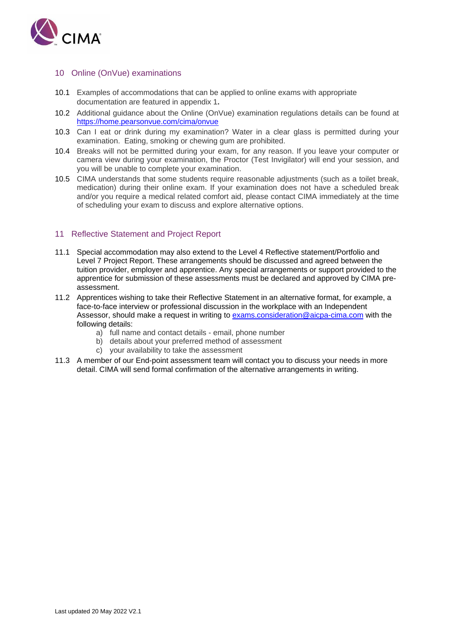

### <span id="page-3-0"></span>10 Online (OnVue) examinations

- 10.1 Examples of accommodations that can be applied to online exams with appropriate documentation are featured in appendix 1**.**
- 10.2 Additional guidance about the Online (OnVue) examination regulations details can be found at <https://home.pearsonvue.com/cima/onvue>
- 10.3 Can I eat or drink during my examination? Water in a clear glass is permitted during your examination. Eating, smoking or chewing gum are prohibited.
- 10.4 Breaks will not be permitted during your exam, for any reason. If you leave your computer or camera view during your examination, the Proctor (Test Invigilator) will end your session, and you will be unable to complete your examination.
- 10.5 CIMA understands that some students require reasonable adjustments (such as a toilet break, medication) during their online exam. If your examination does not have a scheduled break and/or you require a medical related comfort aid, please contact CIMA immediately at the time of scheduling your exam to discuss and explore alternative options.

### <span id="page-3-1"></span>11 Reflective Statement and Project Report

- 11.1 Special accommodation may also extend to the Level 4 Reflective statement/Portfolio and Level 7 Project Report. These arrangements should be discussed and agreed between the tuition provider, employer and apprentice. Any special arrangements or support provided to the apprentice for submission of these assessments must be declared and approved by CIMA preassessment.
- 11.2 Apprentices wishing to take their Reflective Statement in an alternative format, for example, a face-to-face interview or professional discussion in the workplace with an Independent Assessor, should make a request in writing to [exams.consideration@aicpa-cima.com](mailto:exams.consideration@aicpa-cima.com) with the following details:
	- a) full name and contact details email, phone number
	- b) details about your preferred method of assessment
	- c) your availability to take the assessment
- 11.3 A member of our End-point assessment team will contact you to discuss your needs in more detail. CIMA will send formal confirmation of the alternative arrangements in writing.